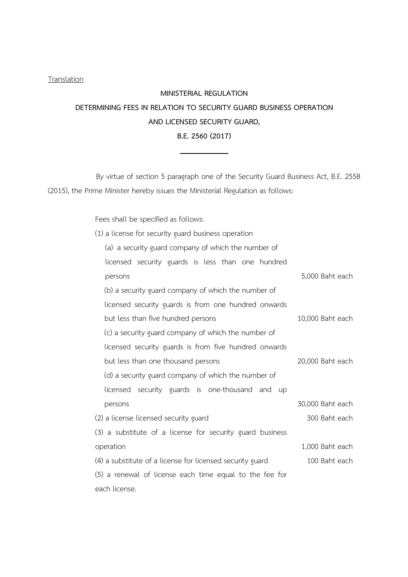## **Translation**

## MINISTERIAL REGULATION DETERMINING FEES IN RELATION TO SECURITY GUARD BUSINESS OPERATION AND LICENSED SECURITY GUARD, B.E. 2560 (2017)

By virtue of section 5 paragraph one of the Security Guard Business Act, B.E. 2558 (2015), the Prime Minister hereby issues the Ministerial Regulation as follows:

Fees shall be specified as follows:

| (1) a license for security guard business operation       |                  |
|-----------------------------------------------------------|------------------|
| (a) a security guard company of which the number of       |                  |
| licensed security guards is less than one hundred         |                  |
| persons                                                   | 5,000 Baht each  |
| (b) a security guard company of which the number of       |                  |
| licensed security guards is from one hundred onwards      |                  |
| but less than five hundred persons                        | 10,000 Baht each |
| (c) a security guard company of which the number of       |                  |
| licensed security guards is from five hundred onwards     |                  |
| but less than one thousand persons                        | 20,000 Baht each |
| (d) a security guard company of which the number of       |                  |
| licensed security guards is one-thousand and up           |                  |
| persons                                                   | 30,000 Baht each |
| (2) a license licensed security guard                     | 300 Baht each    |
| (3) a substitute of a license for security guard business |                  |
| operation                                                 | 1,000 Baht each  |
| (4) a substitute of a license for licensed security guard | 100 Baht each    |
| (5) a renewal of license each time equal to the fee for   |                  |
| each license.                                             |                  |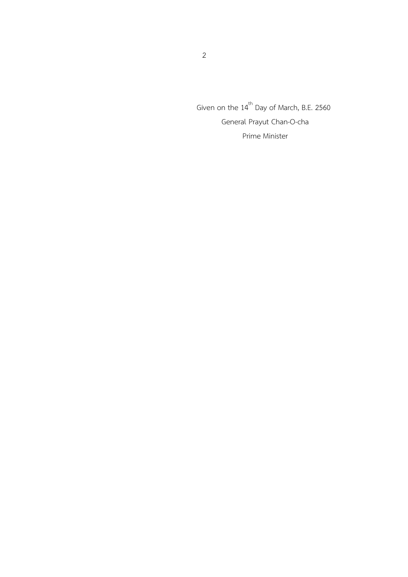Given on the  $14^{\text{th}}$  Day of March, B.E. 2560 General Prayut Chan-O-cha Prime Minister